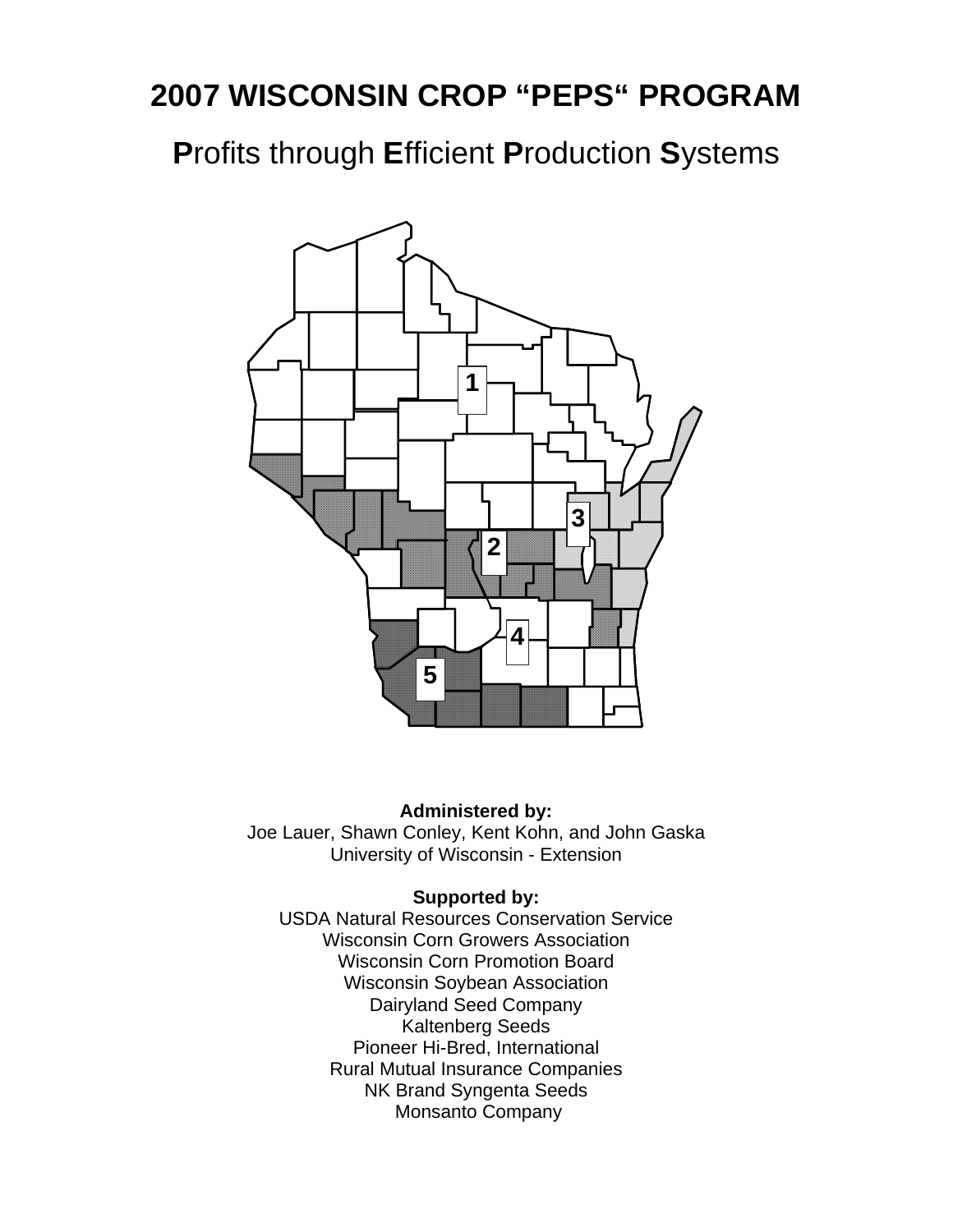# **2007 WISCONSIN CROP "PEPS" PROGRAM**

**P**rofits through **E**fficient **P**roduction **S**ystems



#### **Administered by:**

Joe Lauer, Shawn Conley, Kent Kohn, and John Gaska University of Wisconsin - Extension

#### **Supported by:**

USDA Natural Resources Conservation Service Wisconsin Corn Growers Association Wisconsin Corn Promotion Board Wisconsin Soybean Association Dairyland Seed Company Kaltenberg Seeds Pioneer Hi-Bred, International Rural Mutual Insurance Companies NK Brand Syngenta Seeds Monsanto Company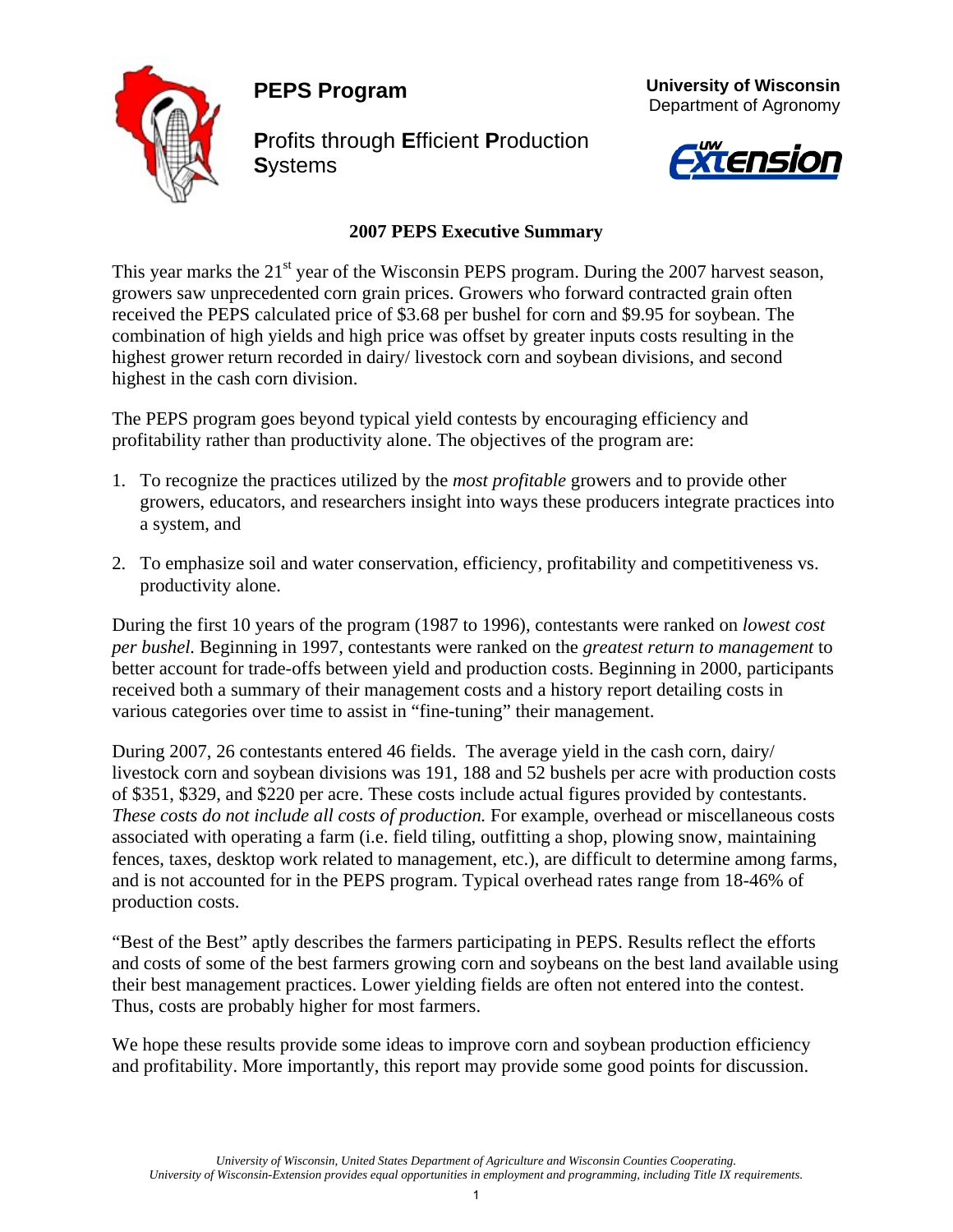**PEPS Program** 



**P**rofits through **E**fficient **P**roduction **S**ystems





#### **2007 PEPS Executive Summary**

This year marks the 21<sup>st</sup> year of the Wisconsin PEPS program. During the 2007 harvest season, growers saw unprecedented corn grain prices. Growers who forward contracted grain often received the PEPS calculated price of \$3.68 per bushel for corn and \$9.95 for soybean. The combination of high yields and high price was offset by greater inputs costs resulting in the highest grower return recorded in dairy/ livestock corn and soybean divisions, and second highest in the cash corn division.

The PEPS program goes beyond typical yield contests by encouraging efficiency and profitability rather than productivity alone. The objectives of the program are:

- 1. To recognize the practices utilized by the *most profitable* growers and to provide other growers, educators, and researchers insight into ways these producers integrate practices into a system, and
- 2. To emphasize soil and water conservation, efficiency, profitability and competitiveness vs. productivity alone.

During the first 10 years of the program (1987 to 1996), contestants were ranked on *lowest cost per bushel.* Beginning in 1997, contestants were ranked on the *greatest return to management* to better account for trade-offs between yield and production costs. Beginning in 2000, participants received both a summary of their management costs and a history report detailing costs in various categories over time to assist in "fine-tuning" their management.

During 2007, 26 contestants entered 46 fields. The average yield in the cash corn, dairy/ livestock corn and soybean divisions was 191, 188 and 52 bushels per acre with production costs of \$351, \$329, and \$220 per acre. These costs include actual figures provided by contestants. *These costs do not include all costs of production.* For example, overhead or miscellaneous costs associated with operating a farm (i.e. field tiling, outfitting a shop, plowing snow, maintaining fences, taxes, desktop work related to management, etc.), are difficult to determine among farms, and is not accounted for in the PEPS program. Typical overhead rates range from 18-46% of production costs.

"Best of the Best" aptly describes the farmers participating in PEPS. Results reflect the efforts and costs of some of the best farmers growing corn and soybeans on the best land available using their best management practices. Lower yielding fields are often not entered into the contest. Thus, costs are probably higher for most farmers.

We hope these results provide some ideas to improve corn and soybean production efficiency and profitability. More importantly, this report may provide some good points for discussion.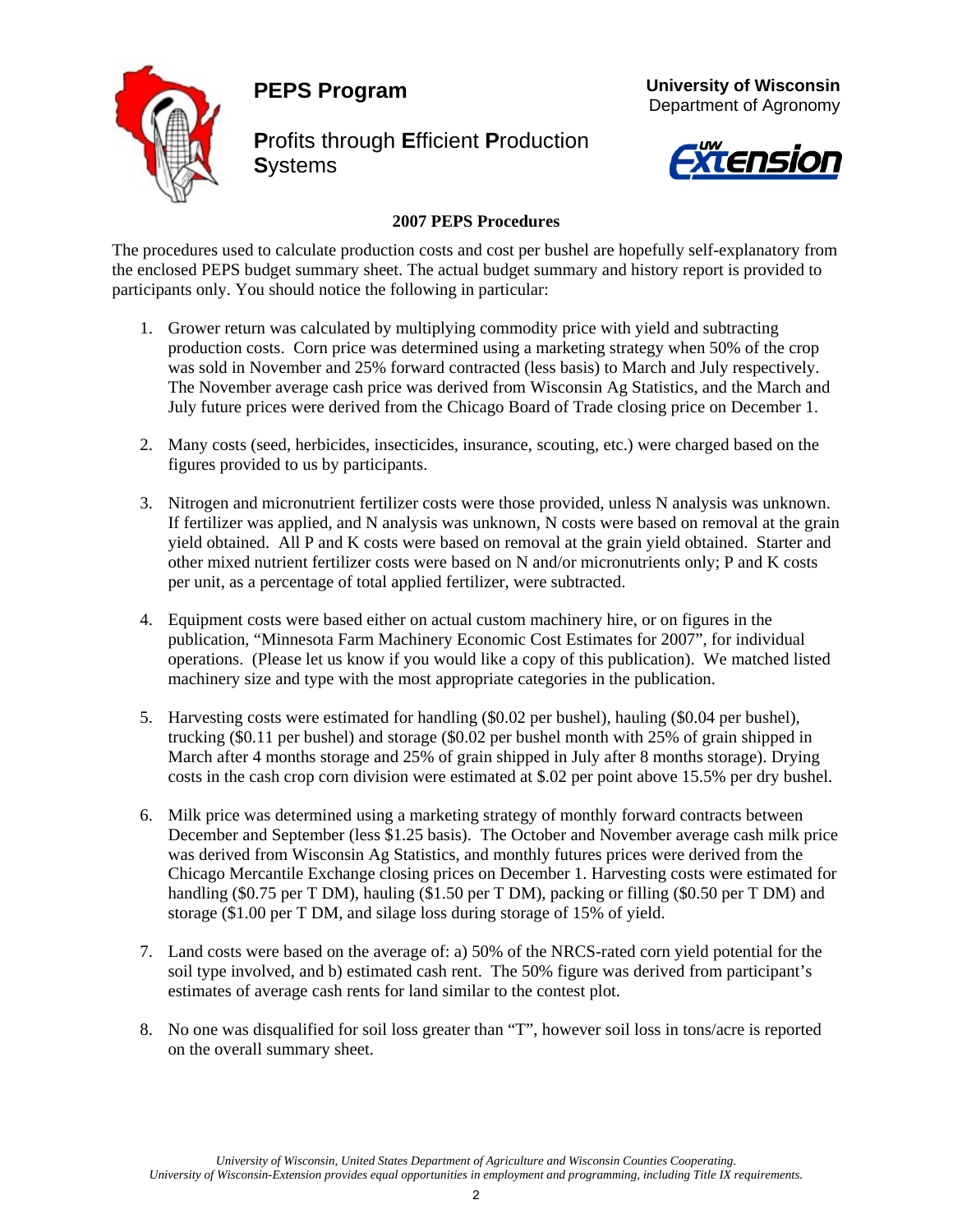**PEPS Program** 



**P**rofits through **E**fficient **P**roduction **S**ystems





#### **2007 PEPS Procedures**

The procedures used to calculate production costs and cost per bushel are hopefully self-explanatory from the enclosed PEPS budget summary sheet. The actual budget summary and history report is provided to participants only. You should notice the following in particular:

- 1. Grower return was calculated by multiplying commodity price with yield and subtracting production costs. Corn price was determined using a marketing strategy when 50% of the crop was sold in November and 25% forward contracted (less basis) to March and July respectively. The November average cash price was derived from Wisconsin Ag Statistics, and the March and July future prices were derived from the Chicago Board of Trade closing price on December 1.
- 2. Many costs (seed, herbicides, insecticides, insurance, scouting, etc.) were charged based on the figures provided to us by participants.
- 3. Nitrogen and micronutrient fertilizer costs were those provided, unless N analysis was unknown. If fertilizer was applied, and N analysis was unknown, N costs were based on removal at the grain yield obtained. All P and K costs were based on removal at the grain yield obtained. Starter and other mixed nutrient fertilizer costs were based on N and/or micronutrients only; P and K costs per unit, as a percentage of total applied fertilizer, were subtracted.
- 4. Equipment costs were based either on actual custom machinery hire, or on figures in the publication, "Minnesota Farm Machinery Economic Cost Estimates for 2007", for individual operations. (Please let us know if you would like a copy of this publication). We matched listed machinery size and type with the most appropriate categories in the publication.
- 5. Harvesting costs were estimated for handling (\$0.02 per bushel), hauling (\$0.04 per bushel), trucking (\$0.11 per bushel) and storage (\$0.02 per bushel month with 25% of grain shipped in March after 4 months storage and 25% of grain shipped in July after 8 months storage). Drying costs in the cash crop corn division were estimated at \$.02 per point above 15.5% per dry bushel.
- 6. Milk price was determined using a marketing strategy of monthly forward contracts between December and September (less \$1.25 basis). The October and November average cash milk price was derived from Wisconsin Ag Statistics, and monthly futures prices were derived from the Chicago Mercantile Exchange closing prices on December 1. Harvesting costs were estimated for handling (\$0.75 per T DM), hauling (\$1.50 per T DM), packing or filling (\$0.50 per T DM) and storage (\$1.00 per T DM, and silage loss during storage of 15% of yield.
- 7. Land costs were based on the average of: a) 50% of the NRCS-rated corn yield potential for the soil type involved, and b) estimated cash rent. The 50% figure was derived from participant's estimates of average cash rents for land similar to the contest plot.
- 8. No one was disqualified for soil loss greater than "T", however soil loss in tons/acre is reported on the overall summary sheet.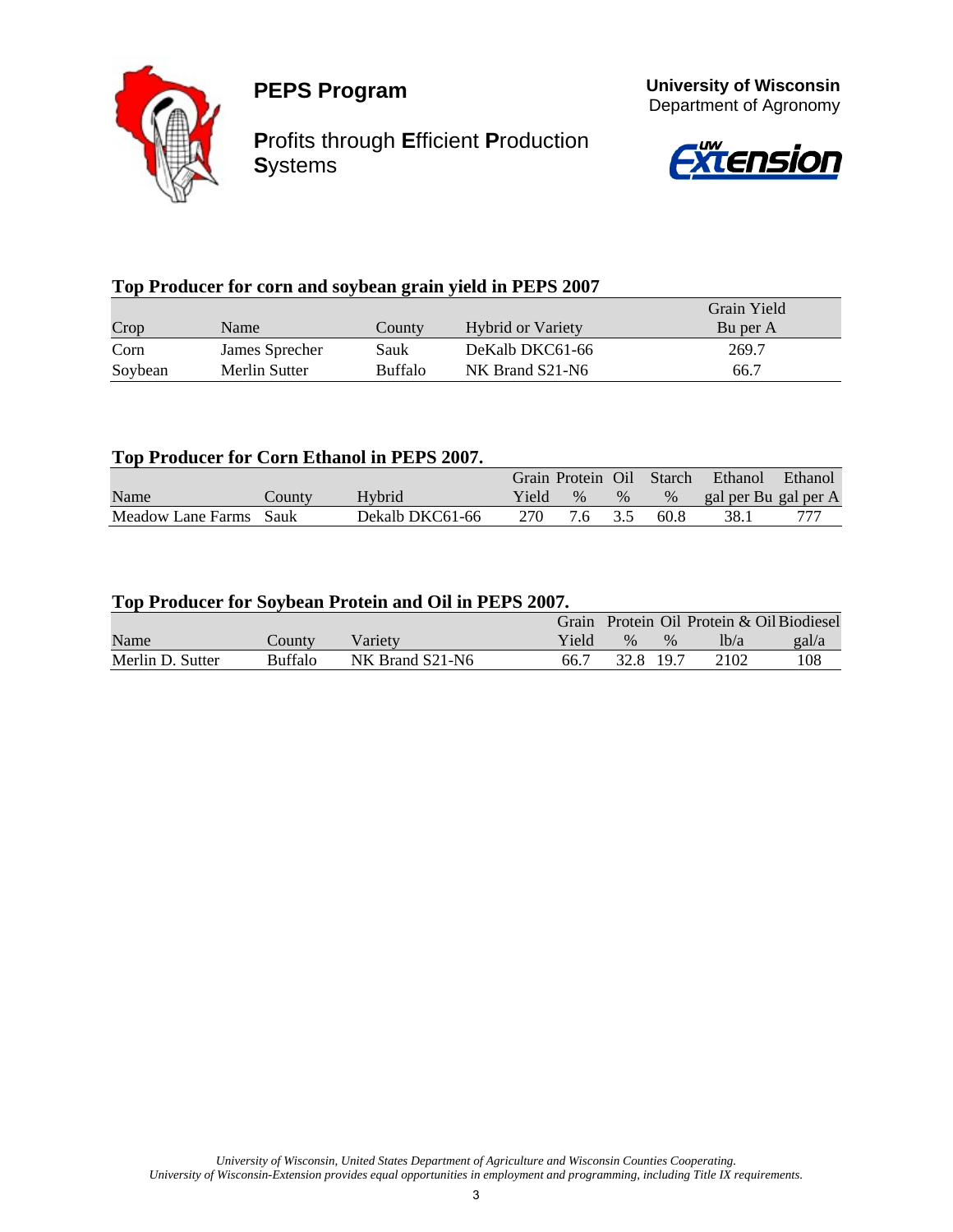



**P**rofits through **E**fficient **P**roduction **S**ystems



 **University of Wisconsin**

### **Top Producer for corn and soybean grain yield in PEPS 2007**

|         |                |                |                          | Grain Yield |
|---------|----------------|----------------|--------------------------|-------------|
| Crop    | Name           | Countv         | <b>Hybrid or Variety</b> | Bu per A    |
| Corn    | James Sprecher | Sauk           | DeKalb DKC61-66          | 269.7       |
| Soybean | Merlin Sutter  | <b>Buffalo</b> | NK Brand S21-N6          | 66.7        |

#### **Top Producer for Corn Ethanol in PEPS 2007.**

|                   |        |                 |       | Grain Protein Oil |      | Starch | Ethanol              | Ethanol |
|-------------------|--------|-----------------|-------|-------------------|------|--------|----------------------|---------|
| Name              | County | Hybrid          | Yield | $\%$              | $\%$ | $\%$   | gal per Bu gal per A |         |
| Meadow Lane Farms | Sauk   | Dekalb DKC61-66 | 270   |                   |      | 60.8   | 38.                  |         |

#### **Top Producer for Soybean Protein and Oil in PEPS 2007.**

|                  |                |                 |       |               |      |      | Grain Protein Oil Protein & Oil Biodiesel |
|------------------|----------------|-----------------|-------|---------------|------|------|-------------------------------------------|
| Name             | County         | Varietv         | Yield | $\frac{0}{6}$ | $\%$ | lb/a | gal/a                                     |
| Merlin D. Sutter | <b>Buffalo</b> | NK Brand S21-N6 | 66.7  | 32.8 19.7     |      | 2102 | 108                                       |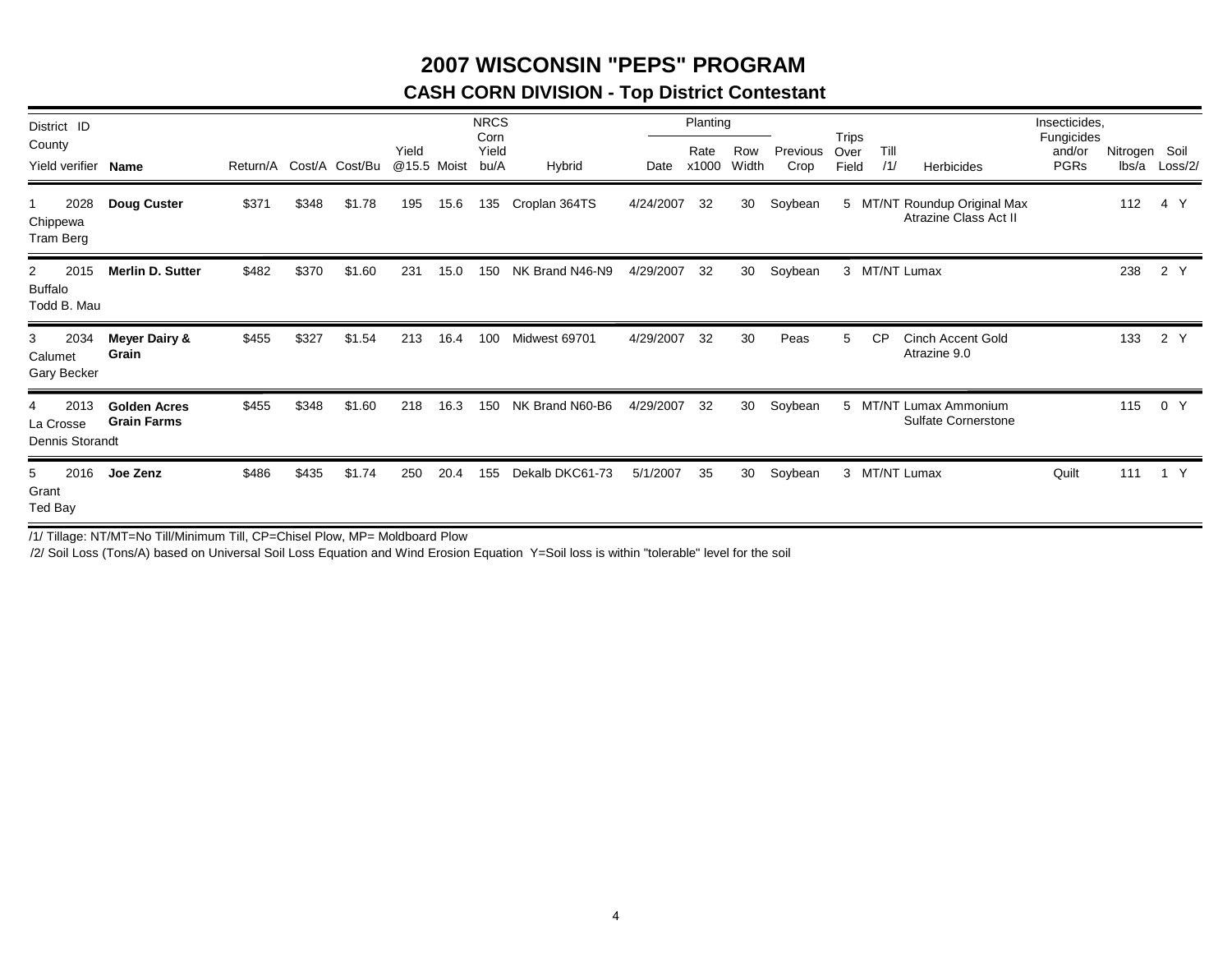### **2007 WISCONSIN "PEPS" PROGRAM**

### **CASH CORN DIVISION - Top District Contestant**

| District ID<br>County                      |                                           |                         |       |        |                      |      | <b>NRCS</b><br>Corn |                 |           | Planting      |              |                  | Trips         |             |                                                       | Insecticides,<br>Fungicides |                        |         |
|--------------------------------------------|-------------------------------------------|-------------------------|-------|--------|----------------------|------|---------------------|-----------------|-----------|---------------|--------------|------------------|---------------|-------------|-------------------------------------------------------|-----------------------------|------------------------|---------|
| Yield verifier Name                        |                                           | Return/A Cost/A Cost/Bu |       |        | Yield<br>@15.5 Moist |      | Yield<br>bu/A       | Hybrid          | Date      | Rate<br>x1000 | Row<br>Width | Previous<br>Crop | Over<br>Field | Till<br>/1/ | Herbicides                                            | and/or<br>PGRs              | Nitrogen Soil<br>lbs/a | Loss/2/ |
| 2028<br>Chippewa<br>Tram Berg              | <b>Doug Custer</b>                        | \$371                   | \$348 | \$1.78 | 195                  | 15.6 | 135                 | Croplan 364TS   | 4/24/2007 | 32            | 30           | Soybean          |               |             | 5 MT/NT Roundup Original Max<br>Atrazine Class Act II |                             | 112                    | 4 Y     |
| 2015<br>2<br><b>Buffalo</b><br>Todd B. Mau | <b>Merlin D. Sutter</b>                   | \$482                   | \$370 | \$1.60 | 231                  | 15.0 | 150                 | NK Brand N46-N9 | 4/29/2007 | 32            | 30           | Soybean          |               |             | 3 MT/NT Lumax                                         |                             | 238                    | 2 Y     |
| 2034<br>3<br>Calumet<br>Gary Becker        | <b>Meyer Dairy &amp;</b><br>Grain         | \$455                   | \$327 | \$1.54 | 213                  | 16.4 | 100                 | Midwest 69701   | 4/29/2007 | 32            | 30           | Peas             | 5             | <b>CP</b>   | <b>Cinch Accent Gold</b><br>Atrazine 9.0              |                             | 133                    | 2 Y     |
| 2013<br>La Crosse<br>Dennis Storandt       | <b>Golden Acres</b><br><b>Grain Farms</b> | \$455                   | \$348 | \$1.60 | 218                  | 16.3 | 150                 | NK Brand N60-B6 | 4/29/2007 | 32            | 30           | Soybean          |               |             | 5 MT/NT Lumax Ammonium<br><b>Sulfate Cornerstone</b>  |                             | 115                    | 0 Y     |
| 2016<br>5<br>Grant<br>Ted Bay              | Joe Zenz                                  | \$486                   | \$435 | \$1.74 | 250                  | 20.4 | 155                 | Dekalb DKC61-73 | 5/1/2007  | 35            | 30           | Soybean          |               |             | 3 MT/NT Lumax                                         | Quilt                       | 111                    | 1 Y     |

/1/ Tillage: NT/MT=No Till/Minimum Till, CP=Chisel Plow, MP= Moldboard Plow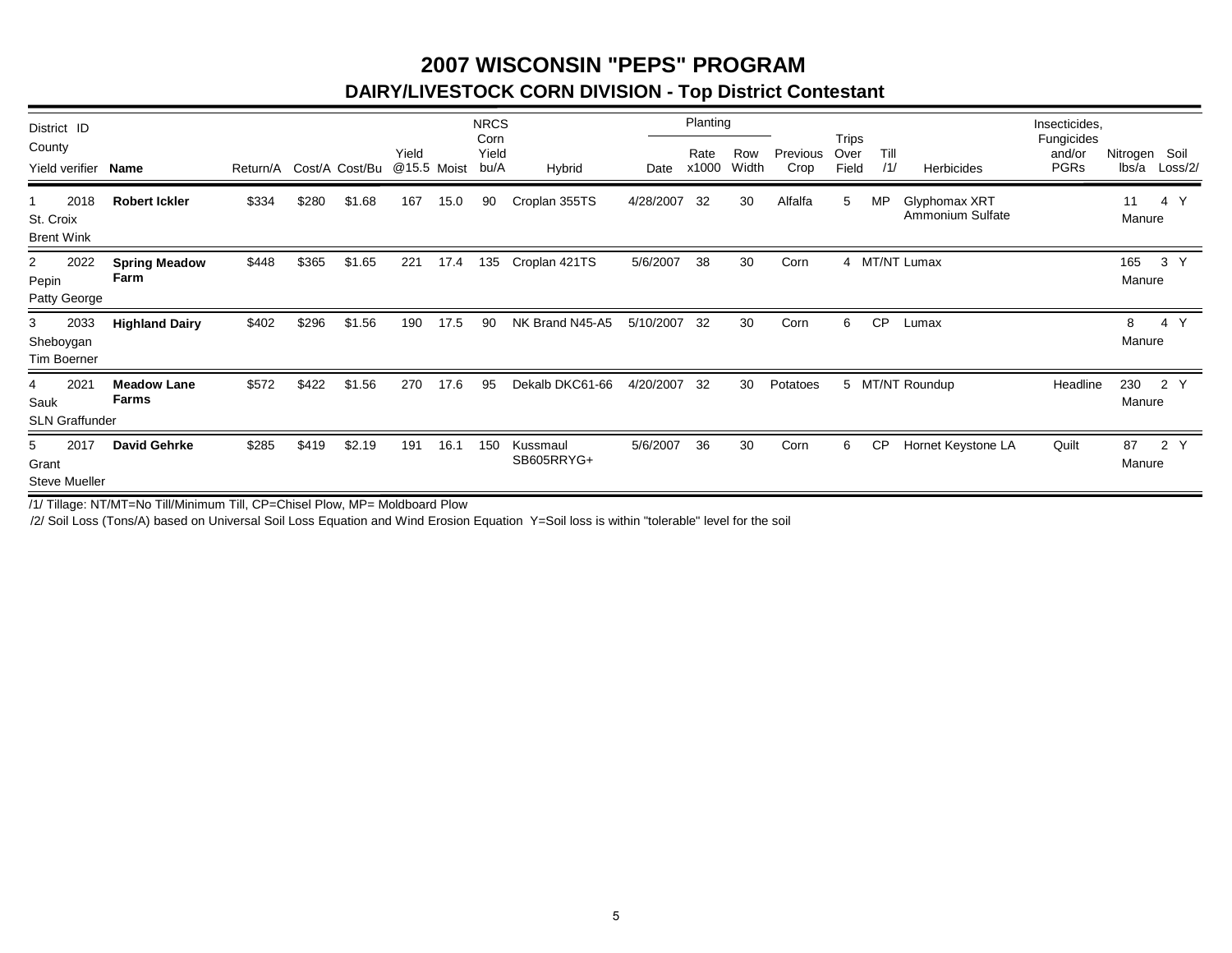### **2007 WISCONSIN "PEPS" PROGRAMDAIRY/LIVESTOCK CORN DIVISION - Top District Contestant**

| District ID<br>County<br>Yield verifier Name |                                    | Return/A Cost/A Cost/Bu |       |        | Yield | @15.5 Moist | <b>NRCS</b><br>Corn<br>Yield<br>bu/A | Hybrid                 | Date      | Planting<br>Rate<br>x1000 | Row<br>Width | Previous<br>Crop | Trips<br>Over<br>Field | Till<br>/1/ | Herbicides                        | Insecticides,<br>Fungicides<br>and/or<br><b>PGRs</b> | Nitrogen Soil<br>$lbs/a$ $Loss/2/$             |
|----------------------------------------------|------------------------------------|-------------------------|-------|--------|-------|-------------|--------------------------------------|------------------------|-----------|---------------------------|--------------|------------------|------------------------|-------------|-----------------------------------|------------------------------------------------------|------------------------------------------------|
| 2018<br>St. Croix<br><b>Brent Wink</b>       | <b>Robert Ickler</b>               | \$334                   | \$280 | \$1.68 | 167   | 15.0        | 90                                   | Croplan 355TS          | 4/28/2007 | 32                        | 30           | Alfalfa          | 5                      | <b>MP</b>   | Glyphomax XRT<br>Ammonium Sulfate |                                                      | 11<br>4<br>Manure                              |
| 2022<br>2<br>Pepin<br>Patty George           | <b>Spring Meadow</b><br>Farm       | \$448                   | \$365 | \$1.65 | 221   | 17.4        | 135                                  | Croplan 421TS          | 5/6/2007  | 38                        | 30           | Corn             |                        |             | 4 MT/NT Lumax                     |                                                      | 165<br>3<br>Manure                             |
| 2033<br>3<br>Sheboygan<br>Tim Boerner        | <b>Highland Dairy</b>              | \$402                   | \$296 | \$1.56 | 190   | 17.5        | 90                                   | NK Brand N45-A5        | 5/10/2007 | -32                       | 30           | Corn             | 6                      | <b>CP</b>   | Lumax                             |                                                      | $\mathsf{Y}$<br>8<br>4<br>Manure               |
| 2021<br>4<br>Sauk<br><b>SLN Graffunder</b>   | <b>Meadow Lane</b><br><b>Farms</b> | \$572                   | \$422 | \$1.56 | 270   | 17.6        | 95                                   | Dekalb DKC61-66        | 4/20/2007 | 32                        | 30           | Potatoes         |                        |             | 5 MT/NT Roundup                   | Headline                                             | 230<br>2 Y<br>Manure                           |
| 2017<br>5<br>Grant<br><b>Steve Mueller</b>   | <b>David Gehrke</b>                | \$285                   | \$419 | \$2.19 | 191   | 16.1        | 150                                  | Kussmaul<br>SB605RRYG+ | 5/6/2007  | 36                        | 30           | Corn             | 6                      | <b>CP</b>   | Hornet Keystone LA                | Quilt                                                | 87<br>$\overline{2}$<br><sup>Y</sup><br>Manure |

/1/ Tillage: NT/MT=No Till/Minimum Till, CP=Chisel Plow, MP= Moldboard Plow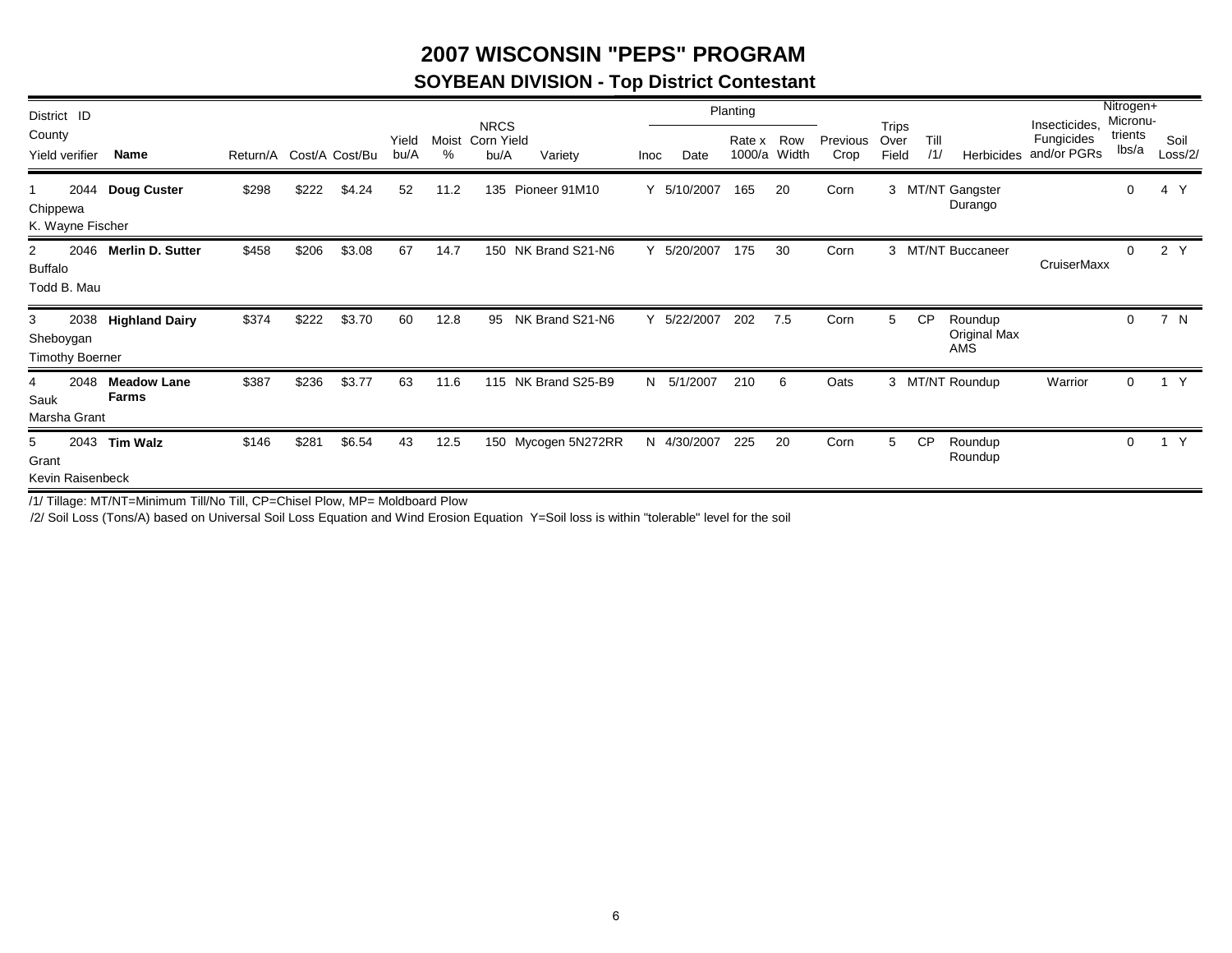### **2007 WISCONSIN "PEPS" PROGRAM**

### **SOYBEAN DIVISION - Top District Contestant**

| District ID                                             |                             |                         |       |        |               |            | <b>NRCS</b>        |                     |      |             | Planting |                     |                  |                               |             |                                | Insecticides.             | Nitrogen+<br>Micronu- |                 |
|---------------------------------------------------------|-----------------------------|-------------------------|-------|--------|---------------|------------|--------------------|---------------------|------|-------------|----------|---------------------|------------------|-------------------------------|-------------|--------------------------------|---------------------------|-----------------------|-----------------|
| County<br>Yield verifier                                | Name                        | Return/A Cost/A Cost/Bu |       |        | Yield<br>bu/A | Moist<br>% | Corn Yield<br>bu/A | Variety             | Inoc | Date        | Rate x   | Row<br>1000/a Width | Previous<br>Crop | <b>Trips</b><br>Over<br>Field | Till<br>/1/ | Herbicides                     | Fungicides<br>and/or PGRs | trients<br>lbs/a      | Soil<br>Loss/2/ |
| Chippewa<br>K. Wayne Fischer                            | 2044 Doug Custer            | \$298                   | \$222 | \$4.24 | 52            | 11.2       | 135                | Pioneer 91M10       |      | 5/10/2007   | 165      | 20                  | Corn             |                               |             | 3 MT/NT Gangster<br>Durango    |                           | 0                     | 4 Y             |
| $\overline{2}$<br>2046<br><b>Buffalo</b><br>Todd B. Mau | <b>Merlin D. Sutter</b>     | \$458                   | \$206 | \$3.08 | 67            | 14.7       |                    | 150 NK Brand S21-N6 |      | 5/20/2007   | 175      | 30                  | Corn             |                               |             | 3 MT/NT Buccaneer              | CruiserMaxx               | 0                     | 2 Y             |
| 3<br>2038<br>Sheboygan<br><b>Timothy Boerner</b>        | <b>Highland Dairy</b>       | \$374                   | \$222 | \$3.70 | 60            | 12.8       | 95                 | NK Brand S21-N6     | Y    | 5/22/2007   | 202      | 7.5                 | Corn             | 5                             | <b>CP</b>   | Roundup<br>Original Max<br>AMS |                           | $\mathbf 0$           | 7 N             |
| 2048<br>4<br>Sauk<br>Marsha Grant                       | <b>Meadow Lane</b><br>Farms | \$387                   | \$236 | \$3.77 | 63            | 11.6       | 115                | NK Brand S25-B9     |      | N 5/1/2007  | 210      | 6                   | Oats             |                               |             | 3 MT/NT Roundup                | Warrior                   | 0                     | $\mathsf{Y}$    |
| 2043<br>5<br>Grant<br>Kevin Raisenbeck                  | <b>Tim Walz</b>             | \$146                   | \$281 | \$6.54 | 43            | 12.5       |                    | 150 Mycogen 5N272RR |      | N 4/30/2007 | 225      | 20                  | Corn             | 5                             | <b>CP</b>   | Roundup<br>Roundup             |                           | 0                     | Y               |

/1/ Tillage: MT/NT=Minimum Till/No Till, CP=Chisel Plow, MP= Moldboard Plow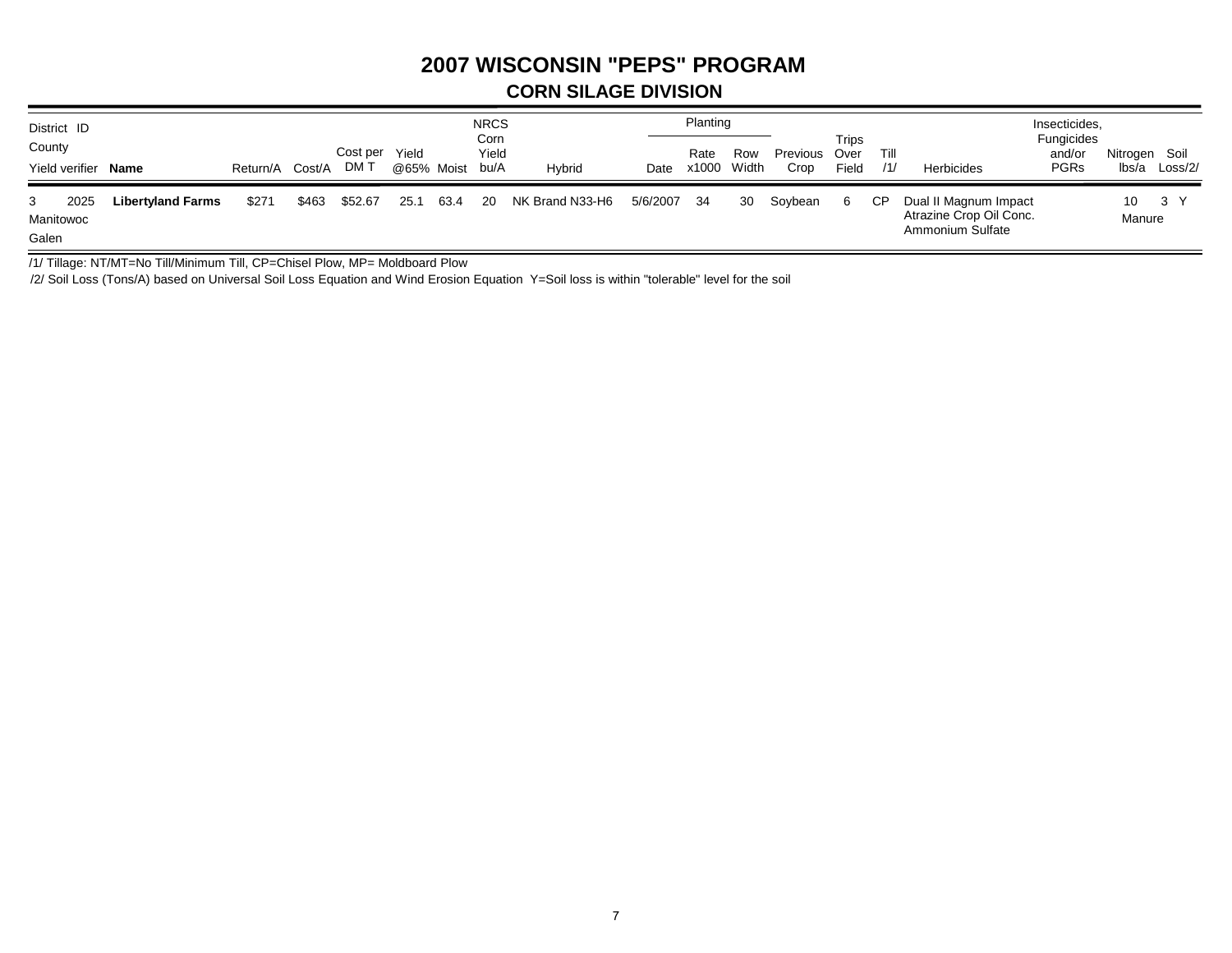## **2007 WISCONSIN "PEPS" PROGRAM**

#### **CORN SILAGE DIVISION**

| District ID                     |                          |                 |       |          |            |      | <b>NRCS</b><br>Corn |                 |             | Planting    |     |               | Trips |      |                                                                      | Insecticides,<br>Fungicides |               |         |
|---------------------------------|--------------------------|-----------------|-------|----------|------------|------|---------------------|-----------------|-------------|-------------|-----|---------------|-------|------|----------------------------------------------------------------------|-----------------------------|---------------|---------|
| County                          |                          |                 |       | Cost per | Yield      |      | Yield               |                 |             | Rate        | Row | Previous Over |       | Till |                                                                      | and/or                      | Nitrogen Soil |         |
| Yield verifier Name             |                          | Return/A Cost/A |       | DM T     | @65% Moist |      | bu/A                | <b>Hybrid</b>   | Date        | x1000 Width |     | Crop          | Field | /1/  | Herbicides                                                           | <b>PGRs</b>                 | lbs/a         | Loss/2/ |
| 2025<br>3<br>Manitowoc<br>Galen | <b>Libertyland Farms</b> | \$271           | \$463 | \$52.67  | 25.1       | 63.4 | -20                 | NK Brand N33-H6 | 5/6/2007 34 |             | 30  | Soybean       | 6     | СP   | Dual II Magnum Impact<br>Atrazine Crop Oil Conc.<br>Ammonium Sulfate |                             | 10<br>Manure  | 3 Y     |

/1/ Tillage: NT/MT=No Till/Minimum Till, CP=Chisel Plow, MP= Moldboard Plow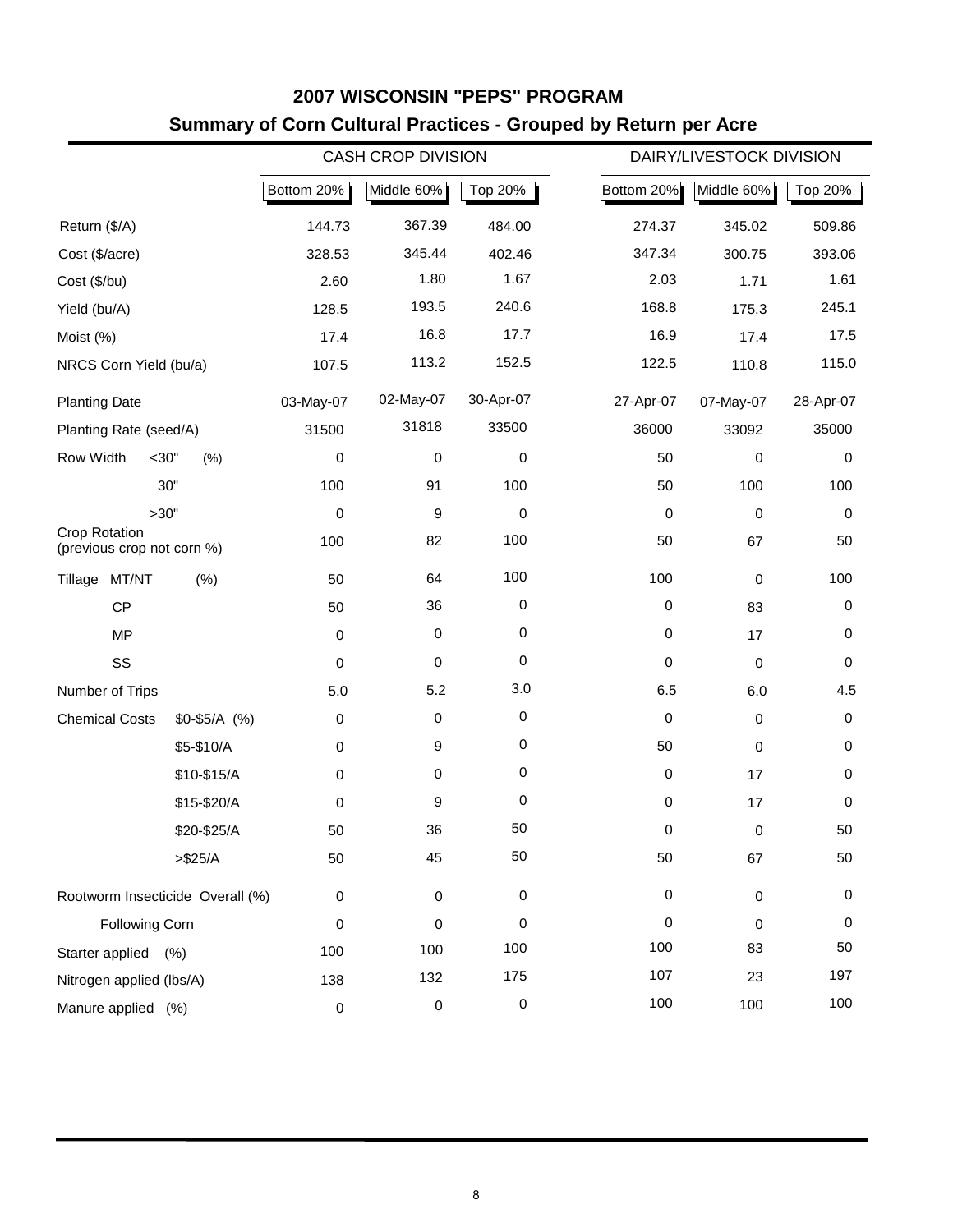|                                                    |                 |            | <b>CASH CROP DIVISION</b> |                  | DAIRY/LIVESTOCK DIVISION            |
|----------------------------------------------------|-----------------|------------|---------------------------|------------------|-------------------------------------|
|                                                    |                 | Bottom 20% | Middle 60%                | Top 20%          | Bottom 20%<br>Middle 60%<br>Top 20% |
| Return (\$/A)                                      |                 | 144.73     | 367.39                    | 484.00           | 345.02<br>509.86<br>274.37          |
| Cost (\$/acre)                                     |                 | 328.53     | 345.44                    | 402.46           | 347.34<br>300.75<br>393.06          |
| Cost (\$/bu)                                       |                 | 2.60       | 1.80                      | 1.67             | 2.03<br>1.61<br>1.71                |
| Yield (bu/A)                                       |                 | 128.5      | 193.5                     | 240.6            | 168.8<br>245.1<br>175.3             |
| Moist (%)                                          |                 | 17.4       | 16.8                      | 17.7             | 16.9<br>17.5<br>17.4                |
| NRCS Corn Yield (bu/a)                             |                 | 107.5      | 113.2                     | 152.5            | 115.0<br>122.5<br>110.8             |
| <b>Planting Date</b>                               |                 | 03-May-07  | 02-May-07                 | 30-Apr-07        | 27-Apr-07<br>07-May-07<br>28-Apr-07 |
| Planting Rate (seed/A)                             |                 | 31500      | 31818                     | 33500            | 36000<br>35000<br>33092             |
| Row Width                                          | $<$ 30"<br>(% ) | 0          | 0                         | 0                | 50<br>$\mathbf 0$<br>0              |
|                                                    | 30"             | 100        | 91                        | 100              | 100<br>50<br>100                    |
| >30"                                               |                 | 0          | 9                         | 0                | $\pmb{0}$<br>$\mathbf 0$<br>0       |
| <b>Crop Rotation</b><br>(previous crop not corn %) |                 | 100        | 82                        | 100              | 50<br>50<br>67                      |
| Tillage MT/NT                                      | (% )            | 50         | 64                        | 100              | 100<br>100<br>$\mathbf 0$           |
| <b>CP</b>                                          |                 | 50         | 36                        | $\pmb{0}$        | $\pmb{0}$<br>0<br>83                |
| <b>MP</b>                                          |                 | 0          | 0                         | $\mathbf 0$      | 0<br>0<br>17                        |
| SS                                                 |                 | 0          | 0                         | $\mathbf 0$      | 0<br>0<br>$\mathbf 0$               |
| Number of Trips                                    |                 | 5.0        | 5.2                       | 3.0              | 6.5<br>4.5<br>6.0                   |
| <b>Chemical Costs</b>                              | $$0-$5/A$ (%)   | 0          | 0                         | $\pmb{0}$        | 0<br>$\mathbf 0$<br>$\mathbf 0$     |
|                                                    | \$5-\$10/A      | 0          | 9                         | $\mathbf 0$      | 50<br>0<br>0                        |
|                                                    | \$10-\$15/A     | 0          | 0                         | $\boldsymbol{0}$ | $\pmb{0}$<br>17<br>0                |
|                                                    | \$15-\$20/A     | 0          | 9                         | $\mathbf 0$      | 0<br>17<br>0                        |
|                                                    | \$20-\$25/A     | 50         | 36                        | 50               | $\mathbf 0$<br>50<br>0              |
|                                                    | $> $25/A$       | 50         | 45                        | 50               | 50<br>50<br>67                      |
| Rootworm Insecticide Overall (%)                   |                 | 0          | $\,0\,$                   | 0                | 0<br>0<br>$\mathbf 0$               |
| <b>Following Corn</b>                              |                 | 0          | 0                         | 0                | 0<br>0<br>0                         |
| Starter applied (%)                                |                 | 100        | 100                       | 100              | 100<br>83<br>50                     |
| Nitrogen applied (lbs/A)                           |                 | 138        | 132                       | 175              | 107<br>197<br>23                    |
| Manure applied (%)                                 |                 | 0          | $\mathbf 0$               | $\pmb{0}$        | 100<br>100<br>100                   |

### **2007 WISCONSIN "PEPS" PROGRAM Summary of Corn Cultural Practices - Grouped by Return per Acre**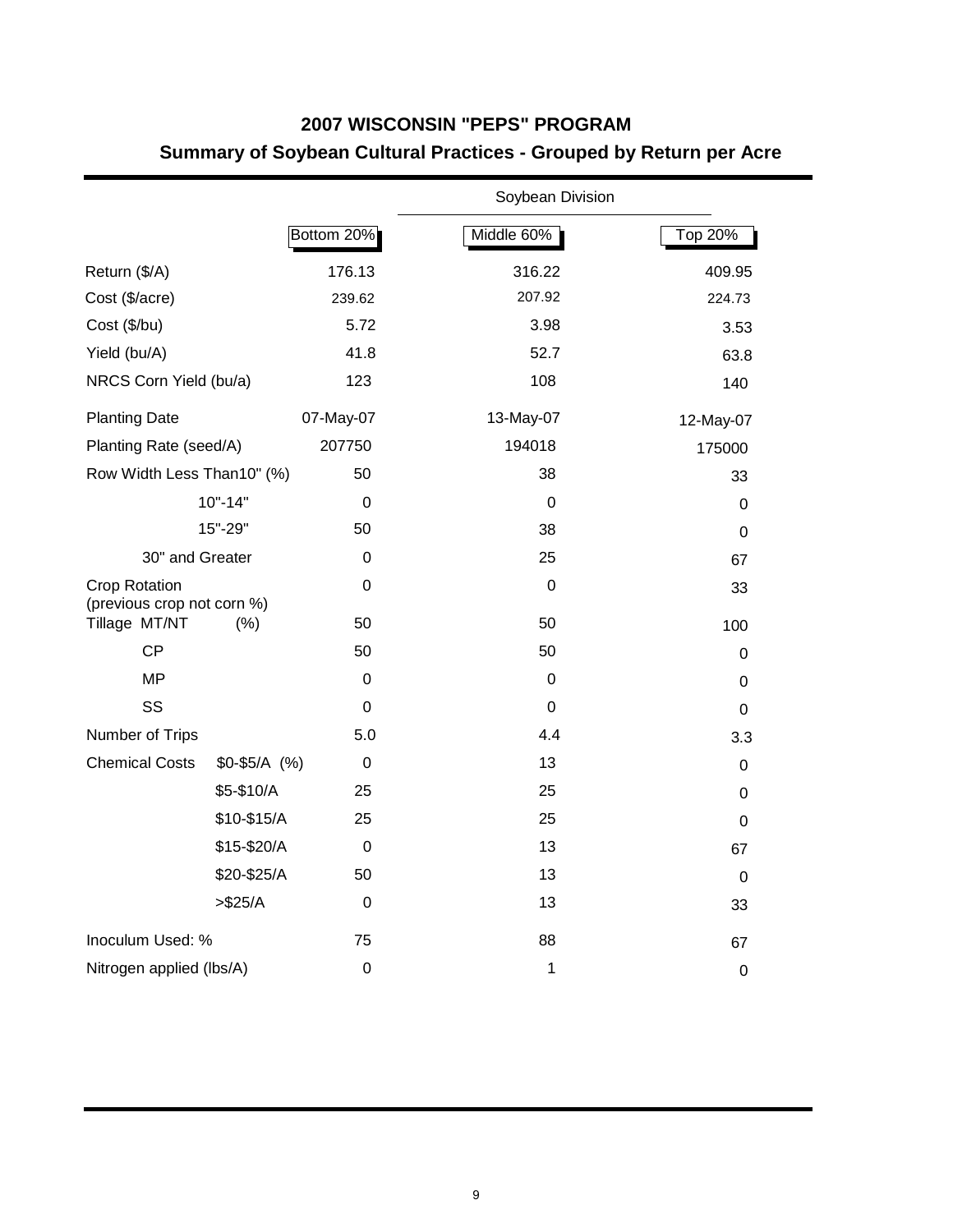### **2007 WISCONSIN "PEPS" PROGRAM Summary of Soybean Cultural Practices - Grouped by Return per Acre**

|                                                    |               |                  | Soybean Division |                  |
|----------------------------------------------------|---------------|------------------|------------------|------------------|
|                                                    |               | Bottom 20%       | Middle 60%       | Top 20%          |
| Return (\$/A)                                      |               | 176.13           | 316.22           | 409.95           |
| Cost (\$/acre)                                     |               | 239.62           | 207.92           | 224.73           |
| Cost (\$/bu)                                       |               | 5.72             | 3.98             | 3.53             |
| Yield (bu/A)                                       |               | 41.8             | 52.7             | 63.8             |
| NRCS Corn Yield (bu/a)                             |               | 123              | 108              | 140              |
| <b>Planting Date</b>                               |               | 07-May-07        | 13-May-07        | 12-May-07        |
| Planting Rate (seed/A)                             |               | 207750           | 194018           | 175000           |
| Row Width Less Than10" (%)                         |               | 50               | 38               | 33               |
|                                                    | $10" - 14"$   | $\Omega$         | $\Omega$         | 0                |
|                                                    | 15"-29"       | 50               | 38               | $\mathbf 0$      |
| 30" and Greater                                    |               | $\mathbf 0$      | 25               | 67               |
| <b>Crop Rotation</b><br>(previous crop not corn %) |               | 0                | 0                | 33               |
| Tillage MT/NT                                      | (%)           | 50               | 50               | 100              |
| <b>CP</b>                                          |               | 50               | 50               | $\mathbf 0$      |
| <b>MP</b>                                          |               | 0                | 0                | 0                |
| SS                                                 |               | 0                | $\mathbf 0$      | 0                |
| Number of Trips                                    |               | 5.0              | 4.4              | 3.3              |
| <b>Chemical Costs</b>                              | $$0-$5/A$ (%) | 0                | 13               | $\mathbf 0$      |
|                                                    | \$5-\$10/A    | 25               | 25               | $\mathbf 0$      |
|                                                    | \$10-\$15/A   | 25               | 25               | 0                |
|                                                    | \$15-\$20/A   | 0                | 13               | 67               |
|                                                    | \$20-\$25/A   | 50               | 13               | 0                |
|                                                    | > \$25/A      | 0                | 13               | 33               |
| Inoculum Used: %                                   |               | 75               | 88               | 67               |
| Nitrogen applied (lbs/A)                           |               | $\boldsymbol{0}$ | 1                | $\boldsymbol{0}$ |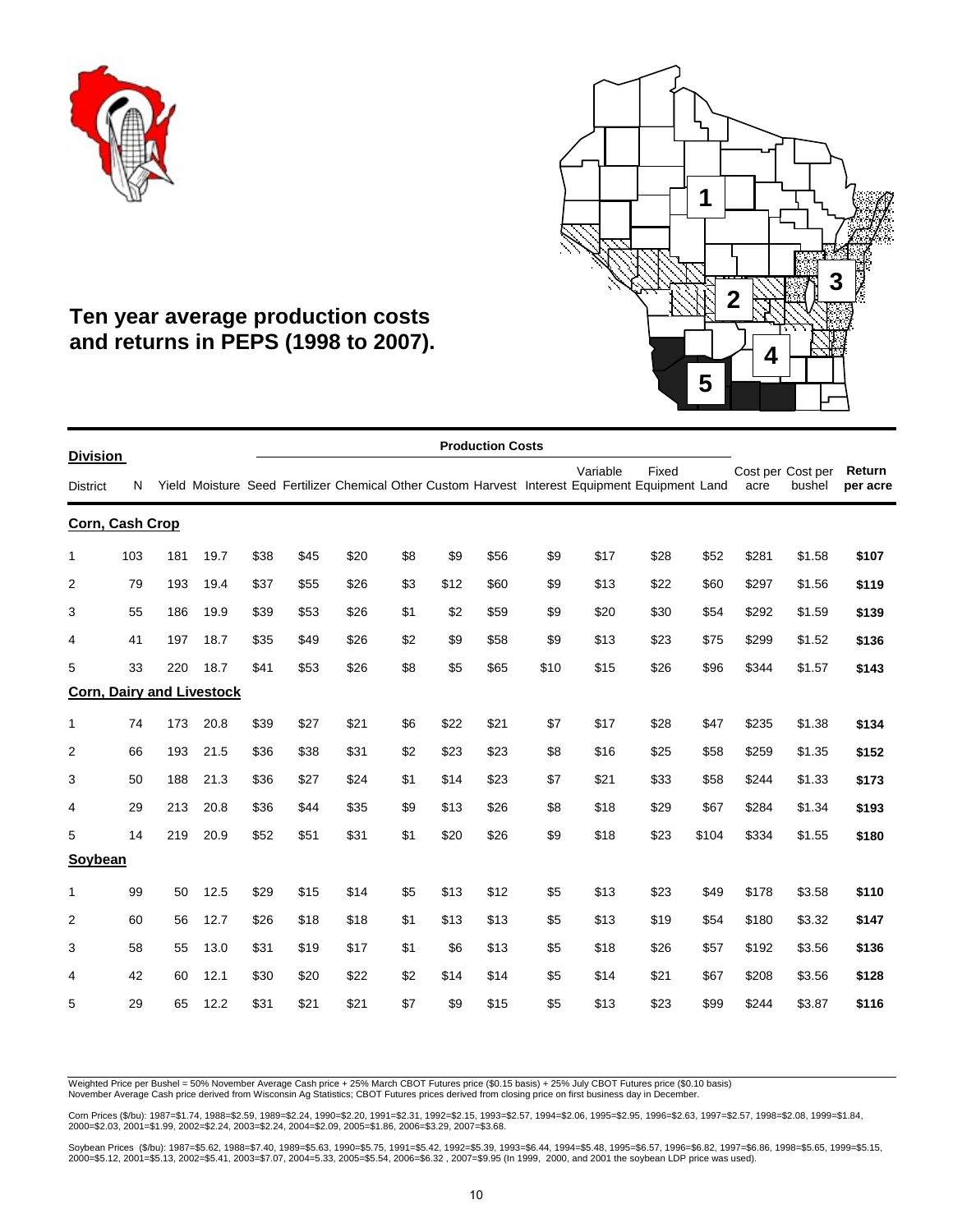



### **Ten year average production costs and returns in PEPS (1998 to 2007).**

|                                    |     |     |                                  |      |      |      |     |      | <b>Production Costs</b> |      |                                                                                                            |       |       |                           |        |                    |
|------------------------------------|-----|-----|----------------------------------|------|------|------|-----|------|-------------------------|------|------------------------------------------------------------------------------------------------------------|-------|-------|---------------------------|--------|--------------------|
| <b>Division</b><br><b>District</b> | N   |     |                                  |      |      |      |     |      |                         |      | Variable<br>Yield Moisture Seed Fertilizer Chemical Other Custom Harvest Interest Equipment Equipment Land | Fixed |       | Cost per Cost per<br>acre | bushel | Return<br>per acre |
| Corn, Cash Crop                    |     |     |                                  |      |      |      |     |      |                         |      |                                                                                                            |       |       |                           |        |                    |
| 1                                  | 103 | 181 | 19.7                             | \$38 | \$45 | \$20 | \$8 | \$9  | \$56                    | \$9  | \$17                                                                                                       | \$28  | \$52  | \$281                     | \$1.58 | \$107              |
| $\overline{2}$                     | 79  | 193 | 19.4                             | \$37 | \$55 | \$26 | \$3 | \$12 | \$60                    | \$9  | \$13                                                                                                       | \$22  | \$60  | \$297                     | \$1.56 | \$119              |
| 3                                  | 55  | 186 | 19.9                             | \$39 | \$53 | \$26 | \$1 | \$2  | \$59                    | \$9  | \$20                                                                                                       | \$30  | \$54  | \$292                     | \$1.59 | \$139              |
| 4                                  | 41  | 197 | 18.7                             | \$35 | \$49 | \$26 | \$2 | \$9  | \$58                    | \$9  | \$13                                                                                                       | \$23  | \$75  | \$299                     | \$1.52 | \$136              |
| 5                                  | 33  | 220 | 18.7                             | \$41 | \$53 | \$26 | \$8 | \$5  | \$65                    | \$10 | \$15                                                                                                       | \$26  | \$96  | \$344                     | \$1.57 | \$143              |
|                                    |     |     | <b>Corn, Dairy and Livestock</b> |      |      |      |     |      |                         |      |                                                                                                            |       |       |                           |        |                    |
| 1                                  | 74  | 173 | 20.8                             | \$39 | \$27 | \$21 | \$6 | \$22 | \$21                    | \$7  | \$17                                                                                                       | \$28  | \$47  | \$235                     | \$1.38 | \$134              |
| 2                                  | 66  | 193 | 21.5                             | \$36 | \$38 | \$31 | \$2 | \$23 | \$23                    | \$8  | \$16                                                                                                       | \$25  | \$58  | \$259                     | \$1.35 | \$152              |
| 3                                  | 50  | 188 | 21.3                             | \$36 | \$27 | \$24 | \$1 | \$14 | \$23                    | \$7  | \$21                                                                                                       | \$33  | \$58  | \$244                     | \$1.33 | \$173              |
| 4                                  | 29  | 213 | 20.8                             | \$36 | \$44 | \$35 | \$9 | \$13 | \$26                    | \$8  | \$18                                                                                                       | \$29  | \$67  | \$284                     | \$1.34 | \$193              |
| 5                                  | 14  | 219 | 20.9                             | \$52 | \$51 | \$31 | \$1 | \$20 | \$26                    | \$9  | \$18                                                                                                       | \$23  | \$104 | \$334                     | \$1.55 | \$180              |
| <b>Soybean</b>                     |     |     |                                  |      |      |      |     |      |                         |      |                                                                                                            |       |       |                           |        |                    |
| 1                                  | 99  | 50  | 12.5                             | \$29 | \$15 | \$14 | \$5 | \$13 | \$12                    | \$5  | \$13                                                                                                       | \$23  | \$49  | \$178                     | \$3.58 | \$110              |
| 2                                  | 60  | 56  | 12.7                             | \$26 | \$18 | \$18 | \$1 | \$13 | \$13                    | \$5  | \$13                                                                                                       | \$19  | \$54  | \$180                     | \$3.32 | \$147              |
| 3                                  | 58  | 55  | 13.0                             | \$31 | \$19 | \$17 | \$1 | \$6  | \$13                    | \$5  | \$18                                                                                                       | \$26  | \$57  | \$192                     | \$3.56 | \$136              |
| 4                                  | 42  | 60  | 12.1                             | \$30 | \$20 | \$22 | \$2 | \$14 | \$14                    | \$5  | \$14                                                                                                       | \$21  | \$67  | \$208                     | \$3.56 | \$128              |
| 5                                  | 29  | 65  | 12.2                             | \$31 | \$21 | \$21 | \$7 | \$9  | \$15                    | \$5  | \$13                                                                                                       | \$23  | \$99  | \$244                     | \$3.87 | \$116              |

Weighted Price per Bushel = 50% November Average Cash price + 25% March CBOT Futures price (\$0.15 basis) + 25% July CBOT Futures price (\$0.10 basis) November Average Cash price derived from Wisconsin Ag Statistics; CBOT Futures prices derived from closing price on first business day in December.

Corn Prices (\$/bu): 1987=\$1.74, 1988=\$2.59, 1989=\$2.24, 1990=\$2.20, 1991=\$2.31, 1992=\$2.15, 1993=\$2.57, 1994=\$2.06, 1995=\$2.95, 1996=\$2.63, 1997=\$2.57, 1998=\$2.08, 1999=\$1.84,<br>2000=\$2.03, 2001=\$1.99, 2002=\$2.24, 2003=\$2.2

Soybean Prices(\$/bu): 1987=\$5.62, 1988=\$7.40, 1989=\$5.63, 1990=\$5.75, 1991=\$5.42, 1992=\$6.39, 1993=\$6.44, 1994=\$5.48, 1995=\$6.57, 1996=\$6.82, 1997=\$6.86, 1998=\$5.65, 1999=\$5.15,<br>2000=\$5.12, 2001=\$5.13, 2002=\$5.41, 2003=\$7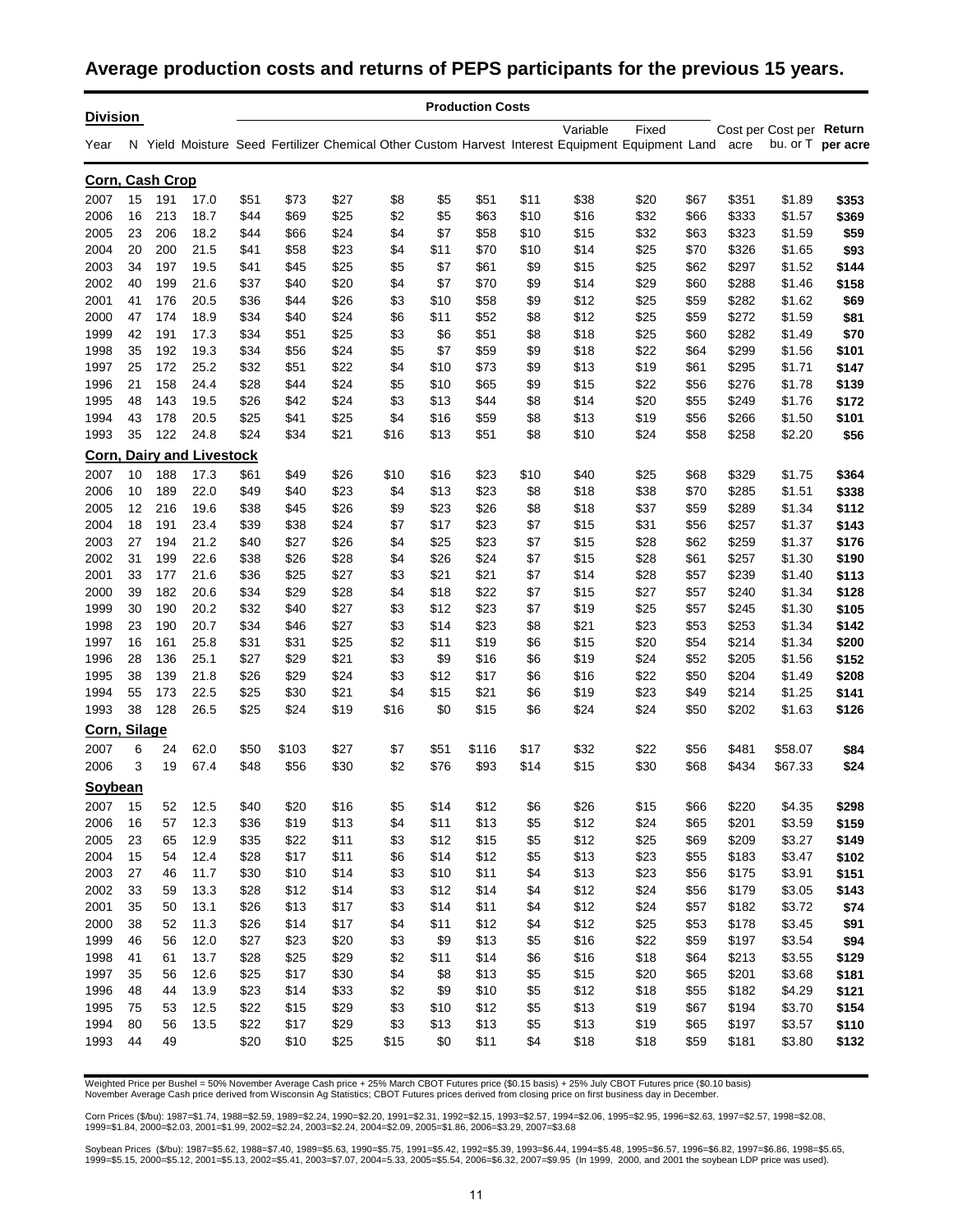### **Average production costs and returns of PEPS participants for the previous 15 years.**

| <b>Division</b> |          |            |                                  |              |              |              |            |             | <b>Production Costs</b> |            |              |                                                                                                                |              |                |                          |                   |
|-----------------|----------|------------|----------------------------------|--------------|--------------|--------------|------------|-------------|-------------------------|------------|--------------|----------------------------------------------------------------------------------------------------------------|--------------|----------------|--------------------------|-------------------|
| Year            |          |            |                                  |              |              |              |            |             |                         |            | Variable     | Fixed<br>N Yield Moisture Seed Fertilizer Chemical Other Custom Harvest Interest Equipment Equipment Land acre |              |                | Cost per Cost per Return | bu. or T per acre |
|                 |          |            |                                  |              |              |              |            |             |                         |            |              |                                                                                                                |              |                |                          |                   |
| Corn, Cash Crop |          |            |                                  |              |              |              |            |             |                         |            |              |                                                                                                                |              |                |                          |                   |
| 2007            | 15       | 191        | 17.0                             | \$51         | \$73         | \$27         | \$8        | \$5         | \$51                    | \$11       | \$38         | \$20                                                                                                           | \$67         | \$351          | \$1.89                   | \$353             |
| 2006            | 16       | 213        | 18.7                             | \$44         | \$69         | \$25         | \$2        | \$5         | \$63                    | \$10       | \$16         | \$32                                                                                                           | \$66         | \$333          | \$1.57                   | \$369             |
| 2005            | 23       | 206        | 18.2                             | \$44         | \$66         | \$24         | \$4        | \$7         | \$58                    | \$10       | \$15         | \$32                                                                                                           | \$63         | \$323          | \$1.59                   | \$59              |
| 2004            | 20       | 200        | 21.5                             | \$41         | \$58         | \$23         | \$4        | \$11        | \$70                    | \$10       | \$14         | \$25                                                                                                           | \$70         | \$326          | \$1.65                   | \$93              |
| 2003            | 34       | 197        | 19.5                             | \$41         | \$45         | \$25         | \$5        | \$7         | \$61                    | \$9        | \$15         | \$25                                                                                                           | \$62         | \$297          | \$1.52                   | \$144             |
| 2002<br>2001    | 40<br>41 | 199<br>176 | 21.6<br>20.5                     | \$37<br>\$36 | \$40<br>\$44 | \$20<br>\$26 | \$4<br>\$3 | \$7<br>\$10 | \$70<br>\$58            | \$9<br>\$9 | \$14<br>\$12 | \$29<br>\$25                                                                                                   | \$60<br>\$59 | \$288<br>\$282 | \$1.46<br>\$1.62         | \$158<br>\$69     |
| 2000            | 47       | 174        | 18.9                             | \$34         | \$40         | \$24         | \$6        | \$11        | \$52                    | \$8        | \$12         | \$25                                                                                                           | \$59         | \$272          | \$1.59                   | \$81              |
| 1999            | 42       | 191        | 17.3                             | \$34         | \$51         | \$25         | \$3        | \$6         | \$51                    | \$8        | \$18         | \$25                                                                                                           | \$60         | \$282          | \$1.49                   | \$70              |
| 1998            | 35       | 192        | 19.3                             | \$34         | \$56         | \$24         | \$5        | \$7         | \$59                    | \$9        | \$18         | \$22                                                                                                           | \$64         | \$299          | \$1.56                   | \$101             |
| 1997            | 25       | 172        | 25.2                             | \$32         | \$51         | \$22         | \$4        | \$10        | \$73                    | \$9        | \$13         | \$19                                                                                                           | \$61         | \$295          | \$1.71                   | \$147             |
| 1996            | 21       | 158        | 24.4                             | \$28         | \$44         | \$24         | \$5        | \$10        | \$65                    | \$9        | \$15         | \$22                                                                                                           | \$56         | \$276          | \$1.78                   | \$139             |
| 1995            | 48       | 143        | 19.5                             | \$26         | \$42         | \$24         | \$3        | \$13        | \$44                    | \$8        | \$14         | \$20                                                                                                           | \$55         | \$249          | \$1.76                   | \$172             |
| 1994            | 43       | 178        | 20.5                             | \$25         | \$41         | \$25         | \$4        | \$16        | \$59                    | \$8        | \$13         | \$19                                                                                                           | \$56         | \$266          | \$1.50                   | \$101             |
| 1993            | 35       | 122        | 24.8                             | \$24         | \$34         | \$21         | \$16       | \$13        | \$51                    | \$8        | \$10         | \$24                                                                                                           | \$58         | \$258          | \$2.20                   | \$56              |
|                 |          |            | <b>Corn, Dairy and Livestock</b> |              |              |              |            |             |                         |            |              |                                                                                                                |              |                |                          |                   |
| 2007            | 10       | 188        | 17.3                             | \$61         | \$49         | \$26         | \$10       | \$16        | \$23                    | \$10       | \$40         | \$25                                                                                                           | \$68         | \$329          | \$1.75                   | \$364             |
| 2006            | 10       | 189        | 22.0                             | \$49         | \$40         | \$23         | \$4        | \$13        | \$23                    | \$8        | \$18         | \$38                                                                                                           | \$70         | \$285          | \$1.51                   | \$338             |
| 2005            | 12       | 216        | 19.6                             | \$38         | \$45         | \$26         | \$9        | \$23        | \$26                    | \$8        | \$18         | \$37                                                                                                           | \$59         | \$289          | \$1.34                   | \$112             |
| 2004            | 18       | 191        | 23.4                             | \$39         | \$38         | \$24         | \$7        | \$17        | \$23                    | \$7        | \$15         | \$31                                                                                                           | \$56         | \$257          | \$1.37                   | \$143             |
| 2003            | 27       | 194        | 21.2                             | \$40         | \$27         | \$26         | \$4        | \$25        | \$23                    | \$7        | \$15         | \$28                                                                                                           | \$62         | \$259          | \$1.37                   | \$176             |
| 2002            | 31       | 199        | 22.6                             | \$38         | \$26         | \$28         | \$4        | \$26        | \$24                    | \$7        | \$15         | \$28                                                                                                           | \$61         | \$257          | \$1.30                   | \$190             |
| 2001            | 33       | 177        | 21.6                             | \$36         | \$25         | \$27         | \$3        | \$21        | \$21                    | \$7        | \$14         | \$28                                                                                                           | \$57         | \$239          | \$1.40                   | \$113             |
| 2000            | 39       | 182        | 20.6                             | \$34         | \$29         | \$28         | \$4        | \$18        | \$22                    | \$7        | \$15         | \$27                                                                                                           | \$57         | \$240          | \$1.34                   | \$128             |
| 1999            | 30       | 190        | 20.2                             | \$32         | \$40         | \$27         | \$3        | \$12        | \$23                    | \$7        | \$19         | \$25                                                                                                           | \$57         | \$245          | \$1.30                   | \$105             |
| 1998            | 23       | 190        | 20.7                             | \$34         | \$46         | \$27         | \$3        | \$14        | \$23                    | \$8        | \$21         | \$23                                                                                                           | \$53         | \$253          | \$1.34                   | \$142             |
| 1997            | 16       | 161        | 25.8                             | \$31         | \$31         | \$25         | \$2        | \$11        | \$19                    | \$6        | \$15         | \$20                                                                                                           | \$54         | \$214          | \$1.34                   | \$200             |
| 1996            | 28       | 136        | 25.1                             | \$27         | \$29         | \$21         | \$3        | \$9         | \$16                    | \$6        | \$19         | \$24                                                                                                           | \$52         | \$205          | \$1.56                   | \$152             |
| 1995            | 38       | 139        | 21.8                             | \$26         | \$29         | \$24         | \$3        | \$12        | \$17                    | \$6        | \$16         | \$22                                                                                                           | \$50         | \$204          | \$1.49                   | \$208             |
| 1994            | 55       | 173        | 22.5                             | \$25         | \$30         | \$21         | \$4        | \$15        | \$21                    | \$6        | \$19         | \$23                                                                                                           | \$49         | \$214          | \$1.25                   | \$141             |
| 1993            | 38       | 128        | 26.5                             | \$25         | \$24         | \$19         | \$16       | \$0         | \$15                    | \$6        | \$24         | \$24                                                                                                           | \$50         | \$202          | \$1.63                   | \$126             |
| Corn, Silage    |          |            |                                  |              |              |              |            |             |                         |            |              |                                                                                                                |              |                |                          |                   |
| 2007            | 6        | 24         | 62.0                             | \$50         | \$103        | \$27         | \$7        | \$51        | \$116                   | \$17       | \$32         | \$22                                                                                                           | \$56         | \$481          | \$58.07                  | \$84              |
| 2006            | 3        | 19         | 67.4                             | \$48         | \$56         | \$30         | \$2        | \$76        | \$93                    | \$14       | \$15         | \$30                                                                                                           | \$68         | \$434          | \$67.33                  | \$24              |
| Soybean         |          |            |                                  |              |              |              |            |             |                         |            |              |                                                                                                                |              |                |                          |                   |
| 2007            | 15       | 52         | 12.5                             | \$40         | \$20         | \$16         | \$5        | \$14        | \$12                    | \$6        | \$26         | \$15                                                                                                           | \$66         | \$220          | \$4.35                   | \$298             |
| 2006            | 16       | 57         | 12.3                             | \$36         | \$19         | \$13         | \$4        | \$11        | \$13                    | \$5        | \$12         | \$24                                                                                                           | \$65         | \$201          | \$3.59                   | \$159             |
| 2005            | 23       | 65         | 12.9                             | \$35         | \$22         | \$11         | \$3        | \$12        | \$15                    | \$5        | \$12         | \$25                                                                                                           | \$69         | \$209          | \$3.27                   | \$149             |
| 2004            | 15       | 54         | 12.4                             | \$28         | \$17         | \$11         | \$6        | \$14        | \$12                    | \$5        | \$13         | \$23                                                                                                           | \$55         | \$183          | \$3.47                   | \$102             |
| 2003            | 27       | 46         | 11.7                             | \$30         | \$10         | \$14         | \$3        | \$10        | \$11                    | \$4        | \$13         | \$23                                                                                                           | \$56         | \$175          | \$3.91                   | \$151             |
| 2002            | 33       | 59         | 13.3                             | \$28         | \$12         | \$14         | \$3        | \$12        | \$14                    | \$4        | \$12         | \$24                                                                                                           | \$56         | \$179          | \$3.05                   | \$143             |
| 2001            | 35       | 50         | 13.1                             | \$26         | \$13         | \$17         | \$3        | \$14        | \$11                    | \$4        | \$12         | \$24                                                                                                           | \$57         | \$182          | \$3.72                   | \$74              |
| 2000            | 38       | 52         | 11.3                             | \$26         | \$14         | \$17         | \$4        | \$11        | \$12                    | \$4        | \$12         | \$25                                                                                                           | \$53         | \$178          | \$3.45                   | \$91              |
| 1999            | 46       | 56         | 12.0                             | \$27         | \$23         | \$20         | \$3        | \$9         | \$13                    | \$5        | \$16         | \$22                                                                                                           | \$59         | \$197          | \$3.54                   | \$94              |
| 1998            | 41       | 61         | 13.7                             | \$28         | \$25         | \$29         | \$2        | \$11        | \$14                    | \$6        | \$16         | \$18                                                                                                           | \$64         | \$213          | \$3.55                   | \$129             |
| 1997            | 35       | 56         | 12.6                             | \$25         | \$17         | \$30         | \$4        | \$8         | \$13                    | \$5        | \$15         | \$20                                                                                                           | \$65         | \$201          | \$3.68                   | \$181             |
| 1996            | 48       | 44         | 13.9                             | \$23         | \$14         | \$33         | \$2        | \$9         | \$10                    | \$5        | \$12         | \$18                                                                                                           | \$55         | \$182          | \$4.29                   | \$121             |
| 1995            | 75       | 53         | 12.5                             | \$22         | \$15         | \$29         | \$3        | \$10        | \$12                    | \$5        | \$13         | \$19                                                                                                           | \$67         | \$194          | \$3.70                   | \$154             |
| 1994            | 80       | 56         | 13.5                             | \$22         | \$17         | \$29         | \$3        | \$13        | \$13                    | \$5        | \$13         | \$19                                                                                                           | \$65         | \$197          | \$3.57                   | \$110             |
| 1993            | 44       | 49         |                                  | \$20         | \$10         | \$25         | \$15       | \$0         | \$11                    | \$4        | \$18         | \$18                                                                                                           | \$59         | \$181          | \$3.80                   | \$132             |

Weighted Price per Bushel = 50% November Average Cash price + 25% March CBOT Futures price (\$0.15 basis) + 25% July CBOT Futures price (\$0.10 basis)<br>November Average Cash price derived from Wisconsin Ag Statistics; CBOT Fu

Corn Prices (\$/bu): 1987=\$1.74, 1988=\$2.59, 1989=\$2.24, 1990=\$2.20, 1991=\$2.31, 1992=\$2.15, 1993=\$2.57, 1994=\$2.06, 1995=\$2.95, 1996=\$2.63, 1997=\$2.57, 1998=\$2.08,<br>1999=\$1.84, 2000=\$2.03, 2001=\$1.99, 2002=\$2.24, 2003=\$2.2

Soybean Prices(\$/bu): 1987=\$5.62, 1988=\$7.40, 1989=\$5.63, 1990=\$5.75, 1991=\$5.42, 1992=\$5.39, 1993=\$6.44, 1994=\$5.48, 1995=\$6.57, 1996=\$6.82, 1997=\$6.86, 1998=\$5.65,<br>1999=\$5.15, 2000=\$5.12, 2001=\$5.13, 2002=\$5.41, 2003=\$7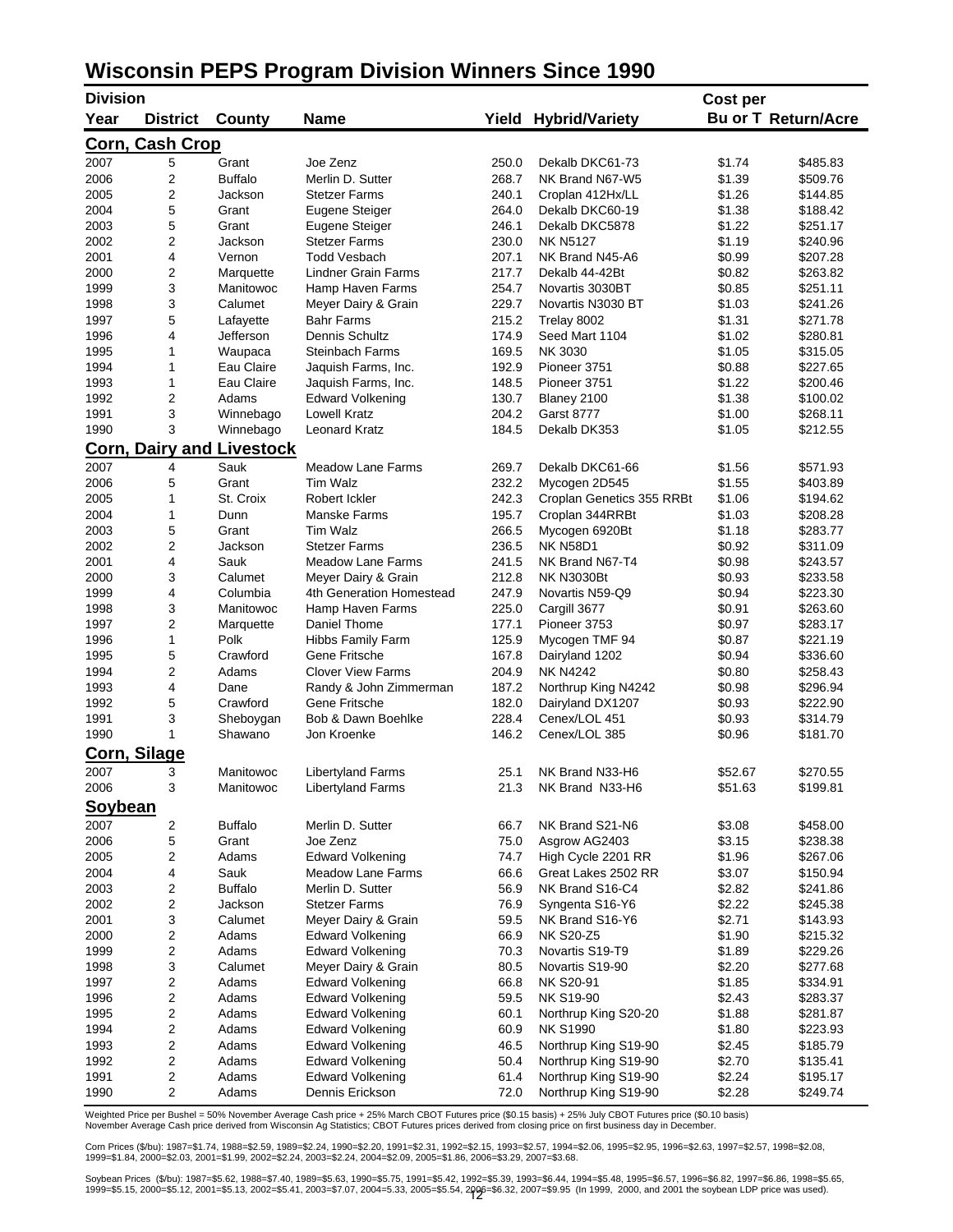### **Wisconsin PEPS Program Division Winners Since 1990**

| <b>Division</b> |                         |                                          |                            |       |                             | Cost per |                            |
|-----------------|-------------------------|------------------------------------------|----------------------------|-------|-----------------------------|----------|----------------------------|
| Year            | <b>District</b>         | County                                   | <b>Name</b>                |       | <b>Yield Hybrid/Variety</b> |          | <b>Bu or T Return/Acre</b> |
|                 | <b>Corn, Cash Crop</b>  |                                          |                            |       |                             |          |                            |
| 2007            | 5                       | Grant                                    | Joe Zenz                   | 250.0 | Dekalb DKC61-73             | \$1.74   | \$485.83                   |
| 2006            | 2                       | <b>Buffalo</b>                           | Merlin D. Sutter           | 268.7 | NK Brand N67-W5             | \$1.39   | \$509.76                   |
| 2005            | 2                       | Jackson                                  | <b>Stetzer Farms</b>       | 240.1 | Croplan 412Hx/LL            | \$1.26   | \$144.85                   |
| 2004            | 5                       | Grant                                    | Eugene Steiger             | 264.0 | Dekalb DKC60-19             | \$1.38   | \$188.42                   |
| 2003            | 5                       | Grant                                    | Eugene Steiger             | 246.1 | Dekalb DKC5878              | \$1.22   | \$251.17                   |
| 2002            | 2                       | Jackson                                  | <b>Stetzer Farms</b>       | 230.0 | <b>NK N5127</b>             | \$1.19   | \$240.96                   |
| 2001            | 4                       | Vernon                                   | <b>Todd Vesbach</b>        | 207.1 | NK Brand N45-A6             | \$0.99   | \$207.28                   |
| 2000            | $\overline{2}$          | Marquette                                | <b>Lindner Grain Farms</b> | 217.7 | Dekalb 44-42Bt              | \$0.82   | \$263.82                   |
| 1999            | 3                       | Manitowoc                                | Hamp Haven Farms           | 254.7 | Novartis 3030BT             | \$0.85   | \$251.11                   |
| 1998            | 3                       | Calumet                                  | Meyer Dairy & Grain        | 229.7 | Novartis N3030 BT           | \$1.03   | \$241.26                   |
| 1997            | 5                       | Lafayette                                | <b>Bahr Farms</b>          | 215.2 | Trelay 8002                 | \$1.31   | \$271.78                   |
| 1996            | 4                       | Jefferson                                | Dennis Schultz             | 174.9 | Seed Mart 1104              | \$1.02   | \$280.81                   |
| 1995            | 1                       | Waupaca                                  | <b>Steinbach Farms</b>     | 169.5 | NK 3030                     | \$1.05   | \$315.05                   |
| 1994            | 1                       | Eau Claire                               | Jaquish Farms, Inc.        | 192.9 | Pioneer 3751                | \$0.88   | \$227.65                   |
| 1993            | 1                       | Eau Claire                               | Jaquish Farms, Inc.        | 148.5 | Pioneer 3751                | \$1.22   | \$200.46                   |
| 1992            | $\overline{2}$          | Adams                                    | Edward Volkening           | 130.7 | Blaney 2100                 | \$1.38   | \$100.02                   |
| 1991            | 3                       | Winnebago                                | <b>Lowell Kratz</b>        | 204.2 | <b>Garst 8777</b>           | \$1.00   | \$268.11                   |
| 1990            | 3                       | Winnebago                                | Leonard Kratz              | 184.5 | Dekalb DK353                | \$1.05   | \$212.55                   |
| 2007            | 4                       | <b>Corn, Dairy and Livestock</b><br>Sauk | <b>Meadow Lane Farms</b>   | 269.7 | Dekalb DKC61-66             | \$1.56   | \$571.93                   |
| 2006            | 5                       | Grant                                    | Tim Walz                   | 232.2 | Mycogen 2D545               | \$1.55   | \$403.89                   |
| 2005            | 1                       | St. Croix                                | Robert Ickler              | 242.3 | Croplan Genetics 355 RRBt   | \$1.06   | \$194.62                   |
| 2004            | 1                       | Dunn                                     | Manske Farms               | 195.7 | Croplan 344RRBt             | \$1.03   | \$208.28                   |
| 2003            | 5                       | Grant                                    | Tim Walz                   | 266.5 | Mycogen 6920Bt              | \$1.18   | \$283.77                   |
| 2002            | 2                       | Jackson                                  | <b>Stetzer Farms</b>       | 236.5 | <b>NK N58D1</b>             | \$0.92   | \$311.09                   |
| 2001            | 4                       | Sauk                                     | <b>Meadow Lane Farms</b>   | 241.5 | NK Brand N67-T4             | \$0.98   | \$243.57                   |
| 2000            | 3                       | Calumet                                  | Meyer Dairy & Grain        | 212.8 | <b>NK N3030Bt</b>           | \$0.93   | \$233.58                   |
| 1999            | 4                       | Columbia                                 | 4th Generation Homestead   | 247.9 | Novartis N59-Q9             | \$0.94   | \$223.30                   |
| 1998            | 3                       | Manitowoc                                | Hamp Haven Farms           | 225.0 | Cargill 3677                | \$0.91   | \$263.60                   |
| 1997            | 2                       | Marquette                                | Daniel Thome               | 177.1 | Pioneer 3753                | \$0.97   | \$283.17                   |
| 1996            | 1                       | Polk                                     | <b>Hibbs Family Farm</b>   | 125.9 | Mycogen TMF 94              | \$0.87   | \$221.19                   |
| 1995            | 5                       | Crawford                                 | Gene Fritsche              | 167.8 | Dairyland 1202              | \$0.94   | \$336.60                   |
| 1994            | 2                       | Adams                                    | <b>Clover View Farms</b>   | 204.9 | <b>NK N4242</b>             | \$0.80   | \$258.43                   |
| 1993            | 4                       | Dane                                     | Randy & John Zimmerman     | 187.2 | Northrup King N4242         | \$0.98   | \$296.94                   |
| 1992            | 5                       | Crawford                                 | Gene Fritsche              | 182.0 | Dairyland DX1207            | \$0.93   | \$222.90                   |
| 1991            | 3                       | Sheboygan                                | Bob & Dawn Boehlke         | 228.4 | Cenex/LOL 451               | \$0.93   | \$314.79                   |
| 1990            | 1                       | Shawano                                  | Jon Kroenke                | 146.2 | Cenex/LOL 385               | \$0.96   | \$181.70                   |
|                 | Corn, Silage            |                                          |                            |       |                             |          |                            |
| 2007            | 3                       | Manitowoc                                | Libertyland Farms          | 25.1  | NK Brand N33-H6             | \$52.67  | \$270.55                   |
| 2006            | 3                       | Manitowoc                                | <b>Libertyland Farms</b>   | 21.3  | NK Brand N33-H6             | \$51.63  | \$199.81                   |
| Soybean         |                         |                                          |                            |       |                             |          |                            |
| 2007            | $\overline{\mathbf{c}}$ | <b>Buffalo</b>                           | Merlin D. Sutter           | 66.7  | NK Brand S21-N6             | \$3.08   | \$458.00                   |
| 2006            | 5                       | Grant                                    | Joe Zenz                   | 75.0  | Asgrow AG2403               | \$3.15   | \$238.38                   |
| 2005            | 2                       | Adams                                    | <b>Edward Volkening</b>    | 74.7  | High Cycle 2201 RR          | \$1.96   | \$267.06                   |
| 2004            | 4                       | Sauk                                     | <b>Meadow Lane Farms</b>   | 66.6  | Great Lakes 2502 RR         | \$3.07   | \$150.94                   |
| 2003            | 2                       | <b>Buffalo</b>                           | Merlin D. Sutter           | 56.9  | NK Brand S16-C4             | \$2.82   | \$241.86                   |
| 2002            | 2                       | Jackson                                  | <b>Stetzer Farms</b>       | 76.9  | Syngenta S16-Y6             | \$2.22   | \$245.38                   |
| 2001            | 3                       | Calumet                                  | Meyer Dairy & Grain        | 59.5  | NK Brand S16-Y6             | \$2.71   | \$143.93                   |
| 2000            | 2                       | Adams                                    | <b>Edward Volkening</b>    | 66.9  | <b>NK S20-Z5</b>            | \$1.90   | \$215.32                   |
| 1999            | 2                       | Adams                                    | <b>Edward Volkening</b>    | 70.3  | Novartis S19-T9             | \$1.89   | \$229.26                   |
| 1998            | 3                       | Calumet                                  | Meyer Dairy & Grain        | 80.5  | Novartis S19-90             | \$2.20   | \$277.68                   |
| 1997            | 2                       | Adams                                    | <b>Edward Volkening</b>    | 66.8  | NK S20-91                   | \$1.85   | \$334.91                   |
| 1996            | 2                       | Adams                                    | <b>Edward Volkening</b>    | 59.5  | <b>NK S19-90</b>            | \$2.43   | \$283.37                   |
| 1995            | 2                       | Adams                                    | <b>Edward Volkening</b>    | 60.1  | Northrup King S20-20        | \$1.88   | \$281.87                   |
| 1994            | $\overline{\mathbf{c}}$ | Adams                                    | <b>Edward Volkening</b>    | 60.9  | <b>NK S1990</b>             | \$1.80   | \$223.93                   |
| 1993            | 2                       | Adams                                    | <b>Edward Volkening</b>    | 46.5  | Northrup King S19-90        | \$2.45   | \$185.79                   |
| 1992            | 2                       | Adams                                    | <b>Edward Volkening</b>    | 50.4  | Northrup King S19-90        | \$2.70   | \$135.41                   |
| 1991            | 2                       | Adams                                    | <b>Edward Volkening</b>    | 61.4  | Northrup King S19-90        | \$2.24   | \$195.17                   |
| 1990            | 2                       | Adams                                    | Dennis Erickson            | 72.0  | Northrup King S19-90        | \$2.28   | \$249.74                   |

Weighted Price per Bushel = 50% November Average Cash price + 25% March CBOT Futures price (\$0.15 basis) + 25% July CBOT Futures price (\$0.10 basis)<br>November Average Cash price derived from Wisconsin Ag Statistics; CBOT Fu

Corn Prices (\$/bu): 1987=\$1.74, 1988=\$2.59, 1989=\$2.24, 1990=\$2.20, 1991=\$2.31, 1992=\$2.15, 1993=\$2.57, 1994=\$2.06, 1995=\$2.95, 1996=\$2.63, 1997=\$2.57, 1998=\$2.08,<br>1999=\$1.84, 2000=\$2.03, 2001=\$1.99, 2002=\$2.24, 2003=\$2.2

Soybean Prices(\$/bu): 1987=\$5.62, 1988=\$7.40, 1989=\$5.63, 1990=\$5.75, 1991=\$5.42, 1992=\$5.39, 1993=\$6.44, 1994=\$5.48, 1995=\$6.57, 1996=\$6.82, 1997=\$6.86, 1998=\$5.65,<br>1999=\$5.15, 2000=\$5.12, 2001=\$5.13, 2002=\$5.41, 2003=\$